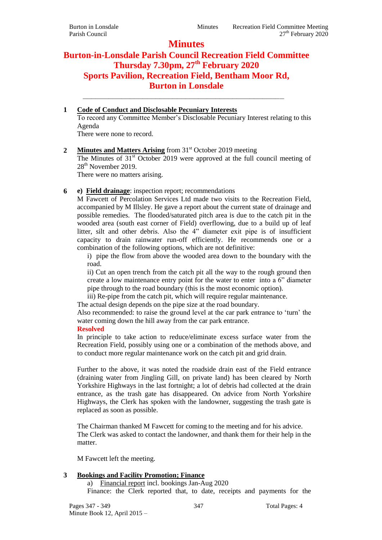# **Minutes**

## **Burton-in-Lonsdale Parish Council Recreation Field Committee Thursday 7.30pm, 27th February 2020 Sports Pavilion, Recreation Field, Bentham Moor Rd, Burton in Lonsdale \_\_\_\_\_\_\_\_\_\_\_\_\_\_\_\_\_\_\_\_\_\_\_\_\_\_\_\_\_\_\_\_\_\_\_\_\_\_\_\_\_\_\_\_\_\_\_**

#### **1 Code of Conduct and Disclosable Pecuniary Interests** To record any Committee Member's Disclosable Pecuniary Interest relating to this Agenda There were none to record.

## 2 **Minutes and Matters Arising** from 31<sup>st</sup> October 2019 meeting

The Minutes of  $31<sup>st</sup>$  October 2019 were approved at the full council meeting of 28<sup>th</sup> November 2019.

There were no matters arising.

## **6 e) Field drainage**: inspection report; recommendations

M Fawcett of Percolation Services Ltd made two visits to the Recreation Field, accompanied by M Illsley. He gave a report about the current state of drainage and possible remedies. The flooded/saturated pitch area is due to the catch pit in the wooded area (south east corner of Field) overflowing, due to a build up of leaf litter, silt and other debris. Also the 4" diameter exit pipe is of insufficient capacity to drain rainwater run-off efficiently. He recommends one or a combination of the following options, which are not definitive:

i) pipe the flow from above the wooded area down to the boundary with the road.

ii) Cut an open trench from the catch pit all the way to the rough ground then create a low maintenance entry point for the water to enter into a 6" diameter pipe through to the road boundary (this is the most economic option).

iii) Re-pipe from the catch pit, which will require regular maintenance.

The actual design depends on the pipe size at the road boundary.

Also recommended: to raise the ground level at the car park entrance to 'turn' the water coming down the hill away from the car park entrance.

### **Resolved**

In principle to take action to reduce/eliminate excess surface water from the Recreation Field, possibly using one or a combination of the methods above, and to conduct more regular maintenance work on the catch pit and grid drain.

Further to the above, it was noted the roadside drain east of the Field entrance (draining water from Jingling Gill, on private land) has been cleared by North Yorkshire Highways in the last fortnight; a lot of debris had collected at the drain entrance, as the trash gate has disappeared. On advice from North Yorkshire Highways, the Clerk has spoken with the landowner, suggesting the trash gate is replaced as soon as possible.

The Chairman thanked M Fawcett for coming to the meeting and for his advice. The Clerk was asked to contact the landowner, and thank them for their help in the matter.

M Fawcett left the meeting.

## **3 Bookings and Facility Promotion; Finance**

a) Financial report incl. bookings Jan-Aug 2020

Finance: the Clerk reported that, to date, receipts and payments for the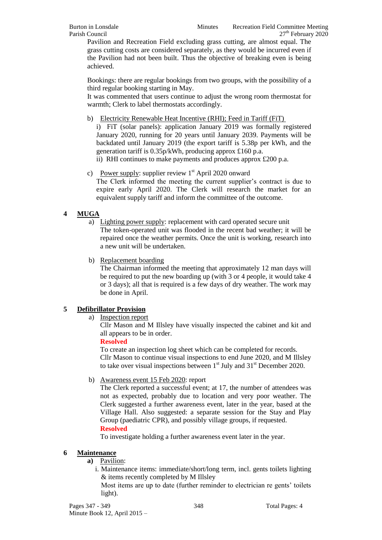Pavilion and Recreation Field excluding grass cutting, are almost equal. The grass cutting costs are considered separately, as they would be incurred even if the Pavilion had not been built. Thus the objective of breaking even is being achieved.

Bookings: there are regular bookings from two groups, with the possibility of a third regular booking starting in May.

It was commented that users continue to adjust the wrong room thermostat for warmth; Clerk to label thermostats accordingly.

b) Electricity Renewable Heat Incentive (RHI); Feed in Tariff (FiT)

i) FiT (solar panels): application January 2019 was formally registered January 2020, running for 20 years until January 2039. Payments will be backdated until January 2019 (the export tariff is 5.38p per kWh, and the generation tariff is 0.35p/kWh, producing approx £160 p.a.

- ii) RHI continues to make payments and produces approx £200 p.a.
- c) Power supply: supplier review  $1<sup>st</sup>$  April 2020 onward The Clerk informed the meeting the current supplier's contract is due to expire early April 2020. The Clerk will research the market for an equivalent supply tariff and inform the committee of the outcome.

## **4 MUGA**

a) Lighting power supply: replacement with card operated secure unit The token-operated unit was flooded in the recent bad weather; it will be repaired once the weather permits. Once the unit is working, research into a new unit will be undertaken.

b) Replacement boarding

The Chairman informed the meeting that approximately 12 man days will be required to put the new boarding up (with 3 or 4 people, it would take 4 or 3 days); all that is required is a few days of dry weather. The work may be done in April.

### **5 Defibrillator Provision**

a) Inspection report

Cllr Mason and M Illsley have visually inspected the cabinet and kit and all appears to be in order.

**Resolved**

To create an inspection log sheet which can be completed for records. Cllr Mason to continue visual inspections to end June 2020, and M Illsley to take over visual inspections between  $1<sup>st</sup>$  July and  $31<sup>st</sup>$  December 2020.

b) Awareness event 15 Feb 2020: report

The Clerk reported a successful event; at 17, the number of attendees was not as expected, probably due to location and very poor weather. The Clerk suggested a further awareness event, later in the year, based at the Village Hall. Also suggested: a separate session for the Stay and Play Group (paediatric CPR), and possibly village groups, if requested. **Resolved**

To investigate holding a further awareness event later in the year.

### **6 Maintenance**

**a)** Pavilion:

i. Maintenance items: immediate/short/long term, incl. gents toilets lighting & items recently completed by M Illsley

Most items are up to date (further reminder to electrician re gents' toilets light).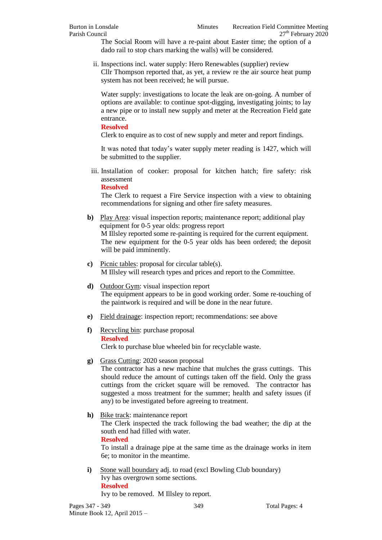The Social Room will have a re-paint about Easter time; the option of a dado rail to stop chars marking the walls) will be considered.

ii. Inspections incl. water supply: Hero Renewables (supplier) review Cllr Thompson reported that, as yet, a review re the air source heat pump system has not been received; he will pursue.

Water supply: investigations to locate the leak are on-going. A number of options are available: to continue spot-digging, investigating joints; to lay a new pipe or to install new supply and meter at the Recreation Field gate entrance.

**Resolved**

Clerk to enquire as to cost of new supply and meter and report findings.

It was noted that today's water supply meter reading is 1427, which will be submitted to the supplier.

iii. Installation of cooker: proposal for kitchen hatch; fire safety: risk assessment

**Resolved**

The Clerk to request a Fire Service inspection with a view to obtaining recommendations for signing and other fire safety measures.

- **b)** Play Area: visual inspection reports; maintenance report; additional play equipment for 0-5 year olds: progress report M Illsley reported some re-painting is required for the current equipment. The new equipment for the 0-5 year olds has been ordered; the deposit will be paid imminently.
- **c)** Picnic tables: proposal for circular table(s). M Illsley will research types and prices and report to the Committee.
- **d)** Outdoor Gym: visual inspection report The equipment appears to be in good working order. Some re-touching of the paintwork is required and will be done in the near future.
- **e)** Field drainage: inspection report; recommendations: see above
- **f)** Recycling bin: purchase proposal **Resolved** Clerk to purchase blue wheeled bin for recyclable waste.
- **g)** Grass Cutting: 2020 season proposal

The contractor has a new machine that mulches the grass cuttings. This should reduce the amount of cuttings taken off the field. Only the grass cuttings from the cricket square will be removed. The contractor has suggested a moss treatment for the summer; health and safety issues (if any) to be investigated before agreeing to treatment.

**h)** Bike track: maintenance report

The Clerk inspected the track following the bad weather; the dip at the south end had filled with water.

**Resolved**

To install a drainage pipe at the same time as the drainage works in item 6e; to monitor in the meantime.

**i)** Stone wall boundary adj. to road (excl Bowling Club boundary) Ivy has overgrown some sections. **Resolved**  Ivy to be removed. M Illsley to report.